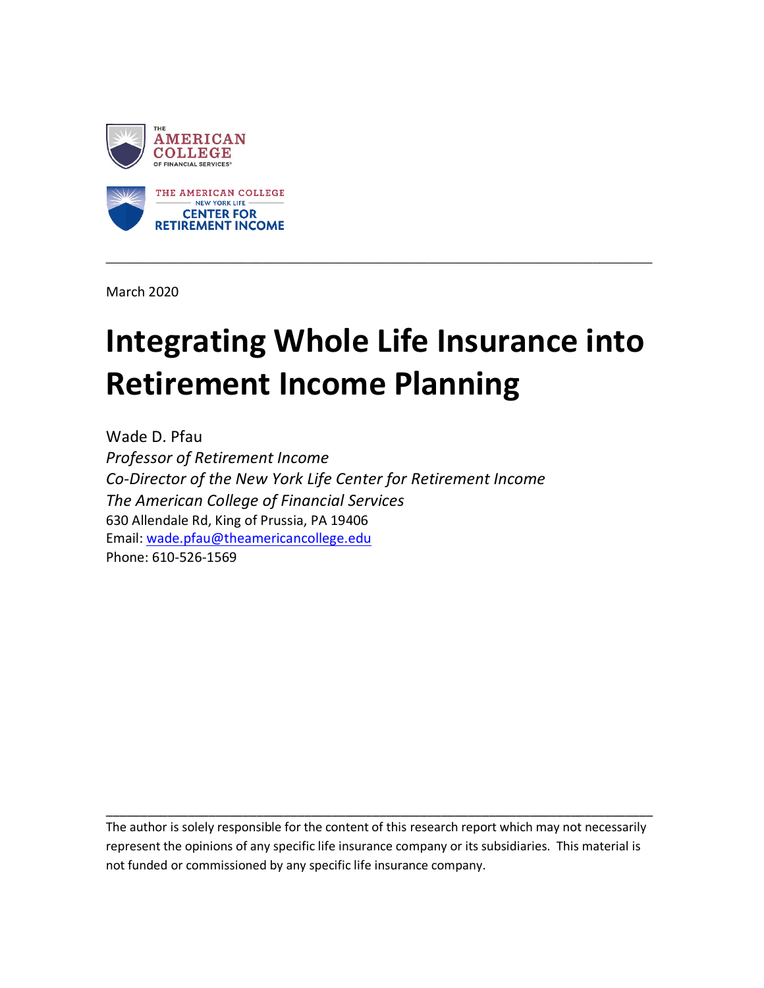

March 2020

# **Integrating Whole Life Insurance into Retirement Income Planning**

\_\_\_\_\_\_\_\_\_\_\_\_\_\_\_\_\_\_\_\_\_\_\_\_\_\_\_\_\_\_\_\_\_\_\_\_\_\_\_\_\_\_\_\_\_\_\_\_\_\_\_\_\_\_\_\_\_\_\_\_\_\_\_\_\_\_\_\_\_\_\_\_\_

Wade D. Pfau *Professor of Retirement Income Co-Director of the New York Life Center for Retirement Income The American College of Financial Services* 630 Allendale Rd, King of Prussia, PA 19406 Email: [wade.pfau@theamericancollege.edu](mailto:wade.pfau@theamericancollege.edu) Phone: 610-526-1569

The author is solely responsible for the content of this research report which may not necessarily represent the opinions of any specific life insurance company or its subsidiaries. This material is not funded or commissioned by any specific life insurance company.

\_\_\_\_\_\_\_\_\_\_\_\_\_\_\_\_\_\_\_\_\_\_\_\_\_\_\_\_\_\_\_\_\_\_\_\_\_\_\_\_\_\_\_\_\_\_\_\_\_\_\_\_\_\_\_\_\_\_\_\_\_\_\_\_\_\_\_\_\_\_\_\_\_\_\_\_\_\_\_\_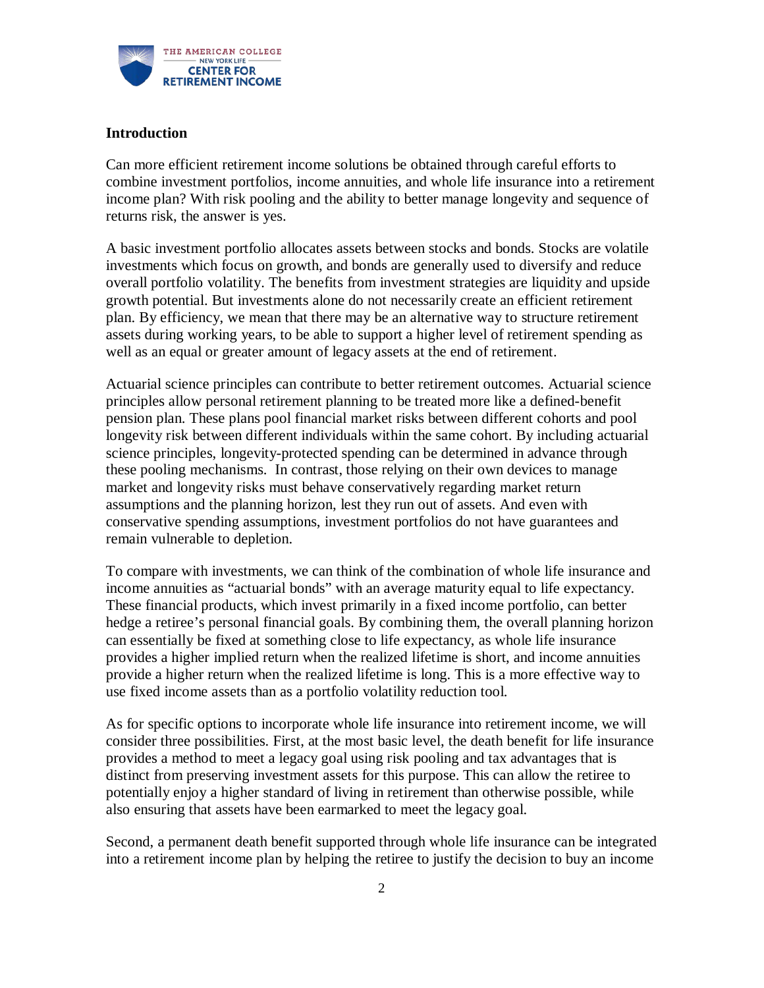

## **Introduction**

Can more efficient retirement income solutions be obtained through careful efforts to combine investment portfolios, income annuities, and whole life insurance into a retirement income plan? With risk pooling and the ability to better manage longevity and sequence of returns risk, the answer is yes.

A basic investment portfolio allocates assets between stocks and bonds. Stocks are volatile investments which focus on growth, and bonds are generally used to diversify and reduce overall portfolio volatility. The benefits from investment strategies are liquidity and upside growth potential. But investments alone do not necessarily create an efficient retirement plan. By efficiency, we mean that there may be an alternative way to structure retirement assets during working years, to be able to support a higher level of retirement spending as well as an equal or greater amount of legacy assets at the end of retirement.

Actuarial science principles can contribute to better retirement outcomes. Actuarial science principles allow personal retirement planning to be treated more like a defined-benefit pension plan. These plans pool financial market risks between different cohorts and pool longevity risk between different individuals within the same cohort. By including actuarial science principles, longevity-protected spending can be determined in advance through these pooling mechanisms. In contrast, those relying on their own devices to manage market and longevity risks must behave conservatively regarding market return assumptions and the planning horizon, lest they run out of assets. And even with conservative spending assumptions, investment portfolios do not have guarantees and remain vulnerable to depletion.

To compare with investments, we can think of the combination of whole life insurance and income annuities as "actuarial bonds" with an average maturity equal to life expectancy. These financial products, which invest primarily in a fixed income portfolio, can better hedge a retiree's personal financial goals. By combining them, the overall planning horizon can essentially be fixed at something close to life expectancy, as whole life insurance provides a higher implied return when the realized lifetime is short, and income annuities provide a higher return when the realized lifetime is long. This is a more effective way to use fixed income assets than as a portfolio volatility reduction tool.

As for specific options to incorporate whole life insurance into retirement income, we will consider three possibilities. First, at the most basic level, the death benefit for life insurance provides a method to meet a legacy goal using risk pooling and tax advantages that is distinct from preserving investment assets for this purpose. This can allow the retiree to potentially enjoy a higher standard of living in retirement than otherwise possible, while also ensuring that assets have been earmarked to meet the legacy goal.

Second, a permanent death benefit supported through whole life insurance can be integrated into a retirement income plan by helping the retiree to justify the decision to buy an income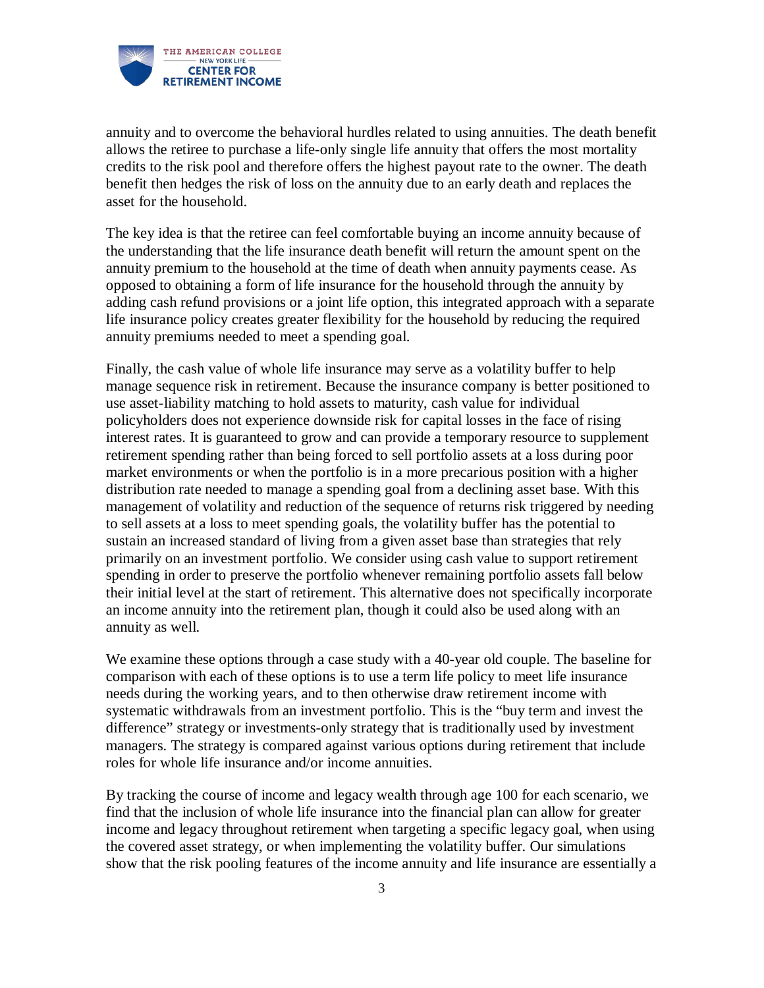

annuity and to overcome the behavioral hurdles related to using annuities. The death benefit allows the retiree to purchase a life-only single life annuity that offers the most mortality credits to the risk pool and therefore offers the highest payout rate to the owner. The death benefit then hedges the risk of loss on the annuity due to an early death and replaces the asset for the household.

The key idea is that the retiree can feel comfortable buying an income annuity because of the understanding that the life insurance death benefit will return the amount spent on the annuity premium to the household at the time of death when annuity payments cease. As opposed to obtaining a form of life insurance for the household through the annuity by adding cash refund provisions or a joint life option, this integrated approach with a separate life insurance policy creates greater flexibility for the household by reducing the required annuity premiums needed to meet a spending goal.

Finally, the cash value of whole life insurance may serve as a volatility buffer to help manage sequence risk in retirement. Because the insurance company is better positioned to use asset-liability matching to hold assets to maturity, cash value for individual policyholders does not experience downside risk for capital losses in the face of rising interest rates. It is guaranteed to grow and can provide a temporary resource to supplement retirement spending rather than being forced to sell portfolio assets at a loss during poor market environments or when the portfolio is in a more precarious position with a higher distribution rate needed to manage a spending goal from a declining asset base. With this management of volatility and reduction of the sequence of returns risk triggered by needing to sell assets at a loss to meet spending goals, the volatility buffer has the potential to sustain an increased standard of living from a given asset base than strategies that rely primarily on an investment portfolio. We consider using cash value to support retirement spending in order to preserve the portfolio whenever remaining portfolio assets fall below their initial level at the start of retirement. This alternative does not specifically incorporate an income annuity into the retirement plan, though it could also be used along with an annuity as well.

We examine these options through a case study with a 40-year old couple. The baseline for comparison with each of these options is to use a term life policy to meet life insurance needs during the working years, and to then otherwise draw retirement income with systematic withdrawals from an investment portfolio. This is the "buy term and invest the difference" strategy or investments-only strategy that is traditionally used by investment managers. The strategy is compared against various options during retirement that include roles for whole life insurance and/or income annuities.

By tracking the course of income and legacy wealth through age 100 for each scenario, we find that the inclusion of whole life insurance into the financial plan can allow for greater income and legacy throughout retirement when targeting a specific legacy goal, when using the covered asset strategy, or when implementing the volatility buffer. Our simulations show that the risk pooling features of the income annuity and life insurance are essentially a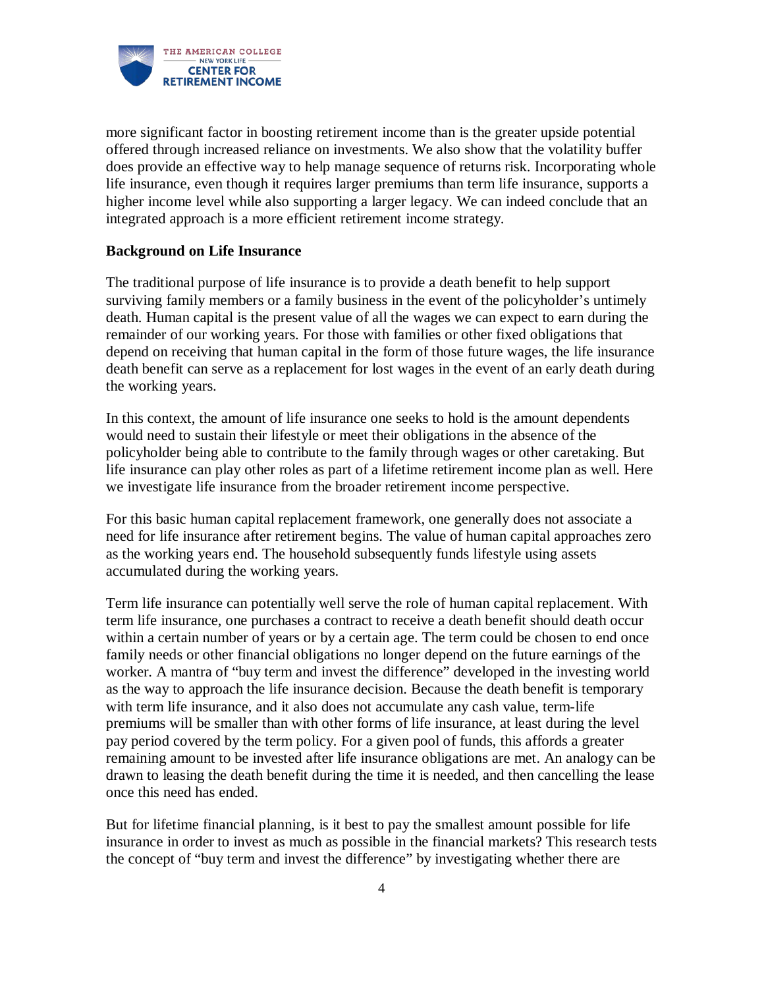

more significant factor in boosting retirement income than is the greater upside potential offered through increased reliance on investments. We also show that the volatility buffer does provide an effective way to help manage sequence of returns risk. Incorporating whole life insurance, even though it requires larger premiums than term life insurance, supports a higher income level while also supporting a larger legacy. We can indeed conclude that an integrated approach is a more efficient retirement income strategy.

## **Background on Life Insurance**

The traditional purpose of life insurance is to provide a death benefit to help support surviving family members or a family business in the event of the policyholder's untimely death. Human capital is the present value of all the wages we can expect to earn during the remainder of our working years. For those with families or other fixed obligations that depend on receiving that human capital in the form of those future wages, the life insurance death benefit can serve as a replacement for lost wages in the event of an early death during the working years.

In this context, the amount of life insurance one seeks to hold is the amount dependents would need to sustain their lifestyle or meet their obligations in the absence of the policyholder being able to contribute to the family through wages or other caretaking. But life insurance can play other roles as part of a lifetime retirement income plan as well. Here we investigate life insurance from the broader retirement income perspective.

For this basic human capital replacement framework, one generally does not associate a need for life insurance after retirement begins. The value of human capital approaches zero as the working years end. The household subsequently funds lifestyle using assets accumulated during the working years.

Term life insurance can potentially well serve the role of human capital replacement. With term life insurance, one purchases a contract to receive a death benefit should death occur within a certain number of years or by a certain age. The term could be chosen to end once family needs or other financial obligations no longer depend on the future earnings of the worker. A mantra of "buy term and invest the difference" developed in the investing world as the way to approach the life insurance decision. Because the death benefit is temporary with term life insurance, and it also does not accumulate any cash value, term-life premiums will be smaller than with other forms of life insurance, at least during the level pay period covered by the term policy. For a given pool of funds, this affords a greater remaining amount to be invested after life insurance obligations are met. An analogy can be drawn to leasing the death benefit during the time it is needed, and then cancelling the lease once this need has ended.

But for lifetime financial planning, is it best to pay the smallest amount possible for life insurance in order to invest as much as possible in the financial markets? This research tests the concept of "buy term and invest the difference" by investigating whether there are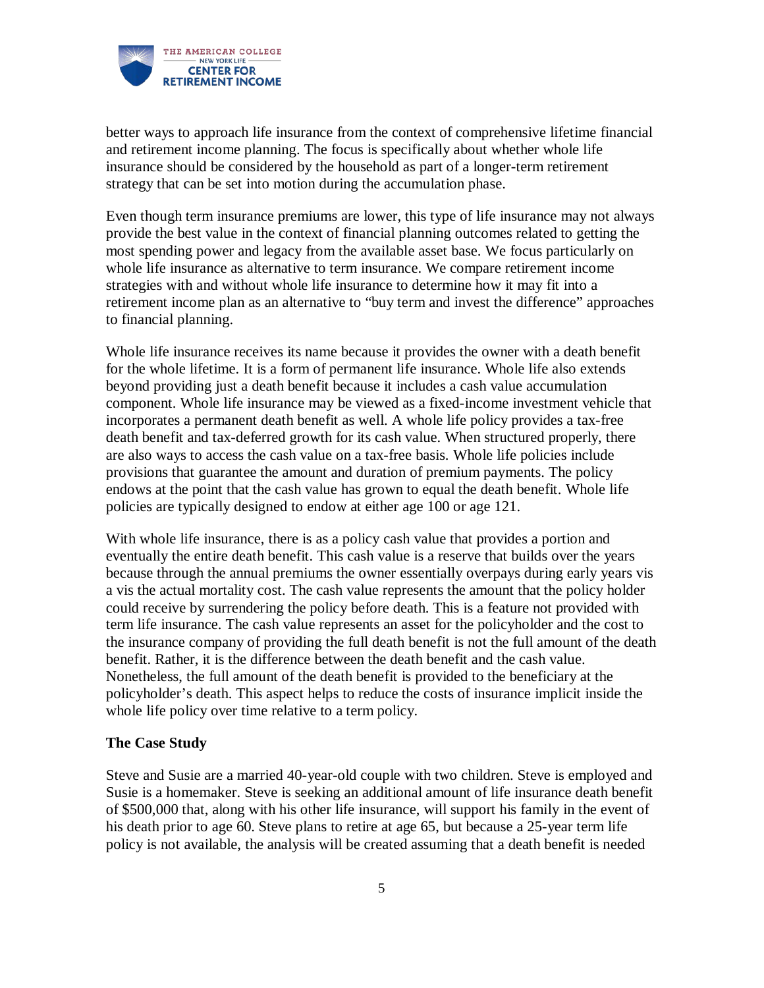

better ways to approach life insurance from the context of comprehensive lifetime financial and retirement income planning. The focus is specifically about whether whole life insurance should be considered by the household as part of a longer-term retirement strategy that can be set into motion during the accumulation phase.

Even though term insurance premiums are lower, this type of life insurance may not always provide the best value in the context of financial planning outcomes related to getting the most spending power and legacy from the available asset base. We focus particularly on whole life insurance as alternative to term insurance. We compare retirement income strategies with and without whole life insurance to determine how it may fit into a retirement income plan as an alternative to "buy term and invest the difference" approaches to financial planning.

Whole life insurance receives its name because it provides the owner with a death benefit for the whole lifetime. It is a form of permanent life insurance. Whole life also extends beyond providing just a death benefit because it includes a cash value accumulation component. Whole life insurance may be viewed as a fixed-income investment vehicle that incorporates a permanent death benefit as well. A whole life policy provides a tax-free death benefit and tax-deferred growth for its cash value. When structured properly, there are also ways to access the cash value on a tax-free basis. Whole life policies include provisions that guarantee the amount and duration of premium payments. The policy endows at the point that the cash value has grown to equal the death benefit. Whole life policies are typically designed to endow at either age 100 or age 121.

With whole life insurance, there is as a policy cash value that provides a portion and eventually the entire death benefit. This cash value is a reserve that builds over the years because through the annual premiums the owner essentially overpays during early years vis a vis the actual mortality cost. The cash value represents the amount that the policy holder could receive by surrendering the policy before death. This is a feature not provided with term life insurance. The cash value represents an asset for the policyholder and the cost to the insurance company of providing the full death benefit is not the full amount of the death benefit. Rather, it is the difference between the death benefit and the cash value. Nonetheless, the full amount of the death benefit is provided to the beneficiary at the policyholder's death. This aspect helps to reduce the costs of insurance implicit inside the whole life policy over time relative to a term policy.

#### **The Case Study**

Steve and Susie are a married 40-year-old couple with two children. Steve is employed and Susie is a homemaker. Steve is seeking an additional amount of life insurance death benefit of \$500,000 that, along with his other life insurance, will support his family in the event of his death prior to age 60. Steve plans to retire at age 65, but because a 25-year term life policy is not available, the analysis will be created assuming that a death benefit is needed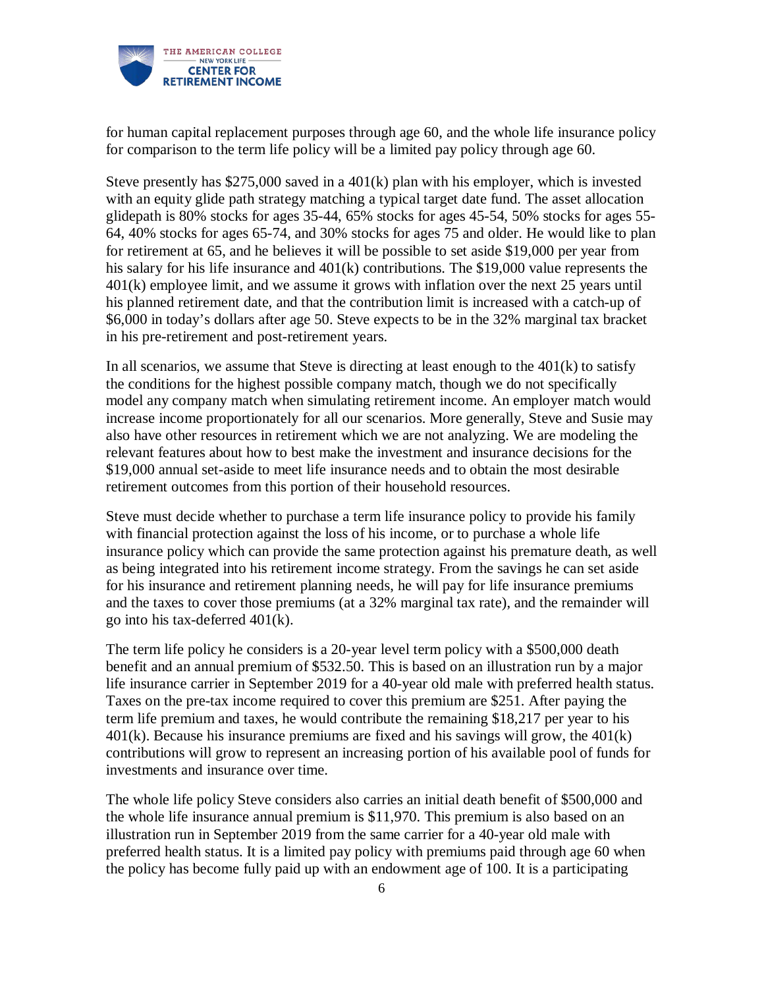

for human capital replacement purposes through age 60, and the whole life insurance policy for comparison to the term life policy will be a limited pay policy through age 60.

Steve presently has \$275,000 saved in a 401(k) plan with his employer, which is invested with an equity glide path strategy matching a typical target date fund. The asset allocation glidepath is 80% stocks for ages 35-44, 65% stocks for ages 45-54, 50% stocks for ages 55- 64, 40% stocks for ages 65-74, and 30% stocks for ages 75 and older. He would like to plan for retirement at 65, and he believes it will be possible to set aside \$19,000 per year from his salary for his life insurance and 401(k) contributions. The \$19,000 value represents the 401(k) employee limit, and we assume it grows with inflation over the next 25 years until his planned retirement date, and that the contribution limit is increased with a catch-up of \$6,000 in today's dollars after age 50. Steve expects to be in the 32% marginal tax bracket in his pre-retirement and post-retirement years.

In all scenarios, we assume that Steve is directing at least enough to the  $401(k)$  to satisfy the conditions for the highest possible company match, though we do not specifically model any company match when simulating retirement income. An employer match would increase income proportionately for all our scenarios. More generally, Steve and Susie may also have other resources in retirement which we are not analyzing. We are modeling the relevant features about how to best make the investment and insurance decisions for the \$19,000 annual set-aside to meet life insurance needs and to obtain the most desirable retirement outcomes from this portion of their household resources.

Steve must decide whether to purchase a term life insurance policy to provide his family with financial protection against the loss of his income, or to purchase a whole life insurance policy which can provide the same protection against his premature death, as well as being integrated into his retirement income strategy. From the savings he can set aside for his insurance and retirement planning needs, he will pay for life insurance premiums and the taxes to cover those premiums (at a 32% marginal tax rate), and the remainder will go into his tax-deferred 401(k).

The term life policy he considers is a 20-year level term policy with a \$500,000 death benefit and an annual premium of \$532.50. This is based on an illustration run by a major life insurance carrier in September 2019 for a 40-year old male with preferred health status. Taxes on the pre-tax income required to cover this premium are \$251. After paying the term life premium and taxes, he would contribute the remaining \$18,217 per year to his  $401(k)$ . Because his insurance premiums are fixed and his savings will grow, the  $401(k)$ contributions will grow to represent an increasing portion of his available pool of funds for investments and insurance over time.

The whole life policy Steve considers also carries an initial death benefit of \$500,000 and the whole life insurance annual premium is \$11,970. This premium is also based on an illustration run in September 2019 from the same carrier for a 40-year old male with preferred health status. It is a limited pay policy with premiums paid through age 60 when the policy has become fully paid up with an endowment age of 100. It is a participating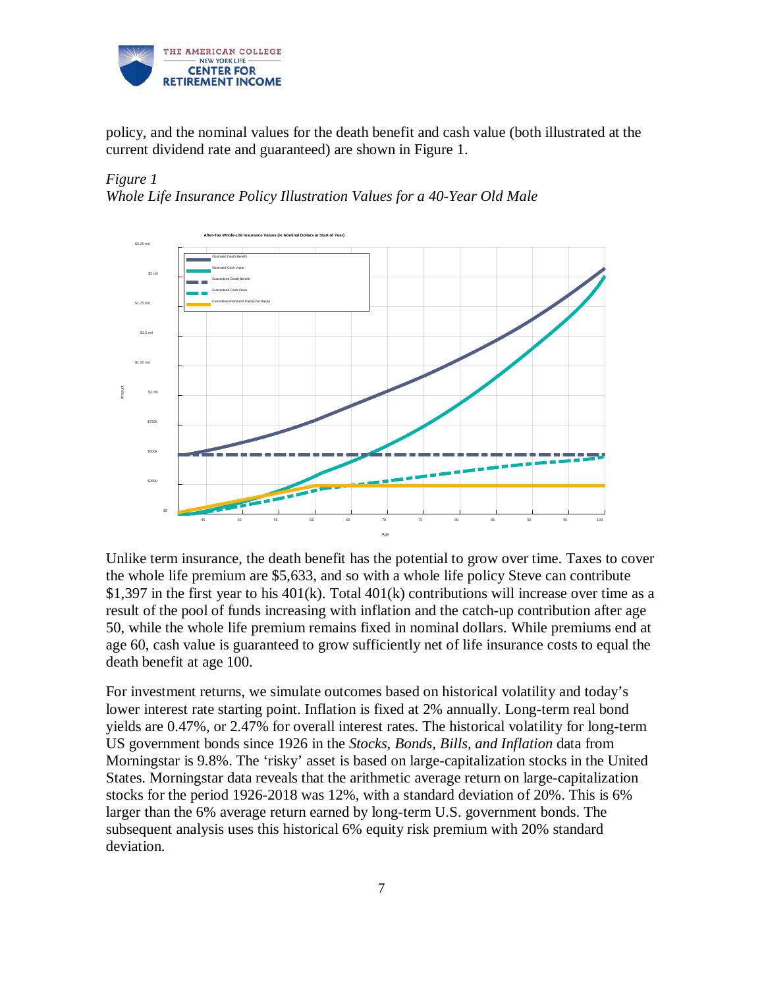

policy, and the nominal values for the death benefit and cash value (both illustrated at the current dividend rate and guaranteed) are shown in Figure 1.

## *Figure 1 Whole Life Insurance Policy Illustration Values for a 40-Year Old Male*



Unlike term insurance, the death benefit has the potential to grow over time. Taxes to cover the whole life premium are \$5,633, and so with a whole life policy Steve can contribute \$1,397 in the first year to his  $401(k)$ . Total  $401(k)$  contributions will increase over time as a result of the pool of funds increasing with inflation and the catch-up contribution after age 50, while the whole life premium remains fixed in nominal dollars. While premiums end at age 60, cash value is guaranteed to grow sufficiently net of life insurance costs to equal the death benefit at age 100.

For investment returns, we simulate outcomes based on historical volatility and today's lower interest rate starting point. Inflation is fixed at 2% annually. Long-term real bond yields are 0.47%, or 2.47% for overall interest rates. The historical volatility for long-term US government bonds since 1926 in the *Stocks, Bonds, Bills, and Inflation* data from Morningstar is 9.8%. The 'risky' asset is based on large-capitalization stocks in the United States. Morningstar data reveals that the arithmetic average return on large-capitalization stocks for the period 1926-2018 was 12%, with a standard deviation of 20%. This is 6% larger than the 6% average return earned by long-term U.S. government bonds. The subsequent analysis uses this historical 6% equity risk premium with 20% standard deviation.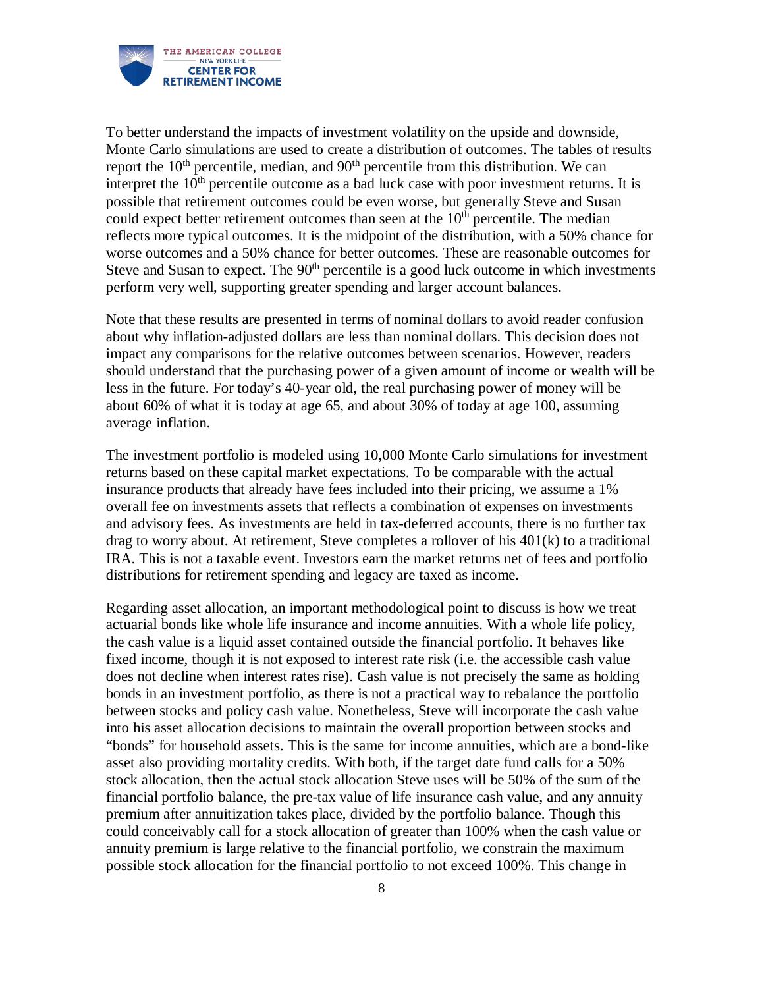

To better understand the impacts of investment volatility on the upside and downside, Monte Carlo simulations are used to create a distribution of outcomes. The tables of results report the  $10<sup>th</sup>$  percentile, median, and  $90<sup>th</sup>$  percentile from this distribution. We can interpret the  $10<sup>th</sup>$  percentile outcome as a bad luck case with poor investment returns. It is possible that retirement outcomes could be even worse, but generally Steve and Susan could expect better retirement outcomes than seen at the  $10<sup>th</sup>$  percentile. The median reflects more typical outcomes. It is the midpoint of the distribution, with a 50% chance for worse outcomes and a 50% chance for better outcomes. These are reasonable outcomes for Steve and Susan to expect. The  $90<sup>th</sup>$  percentile is a good luck outcome in which investments perform very well, supporting greater spending and larger account balances.

Note that these results are presented in terms of nominal dollars to avoid reader confusion about why inflation-adjusted dollars are less than nominal dollars. This decision does not impact any comparisons for the relative outcomes between scenarios. However, readers should understand that the purchasing power of a given amount of income or wealth will be less in the future. For today's 40-year old, the real purchasing power of money will be about 60% of what it is today at age 65, and about 30% of today at age 100, assuming average inflation.

The investment portfolio is modeled using 10,000 Monte Carlo simulations for investment returns based on these capital market expectations. To be comparable with the actual insurance products that already have fees included into their pricing, we assume a 1% overall fee on investments assets that reflects a combination of expenses on investments and advisory fees. As investments are held in tax-deferred accounts, there is no further tax drag to worry about. At retirement, Steve completes a rollover of his 401(k) to a traditional IRA. This is not a taxable event. Investors earn the market returns net of fees and portfolio distributions for retirement spending and legacy are taxed as income.

Regarding asset allocation, an important methodological point to discuss is how we treat actuarial bonds like whole life insurance and income annuities. With a whole life policy, the cash value is a liquid asset contained outside the financial portfolio. It behaves like fixed income, though it is not exposed to interest rate risk (i.e. the accessible cash value does not decline when interest rates rise). Cash value is not precisely the same as holding bonds in an investment portfolio, as there is not a practical way to rebalance the portfolio between stocks and policy cash value. Nonetheless, Steve will incorporate the cash value into his asset allocation decisions to maintain the overall proportion between stocks and "bonds" for household assets. This is the same for income annuities, which are a bond-like asset also providing mortality credits. With both, if the target date fund calls for a 50% stock allocation, then the actual stock allocation Steve uses will be 50% of the sum of the financial portfolio balance, the pre-tax value of life insurance cash value, and any annuity premium after annuitization takes place, divided by the portfolio balance. Though this could conceivably call for a stock allocation of greater than 100% when the cash value or annuity premium is large relative to the financial portfolio, we constrain the maximum possible stock allocation for the financial portfolio to not exceed 100%. This change in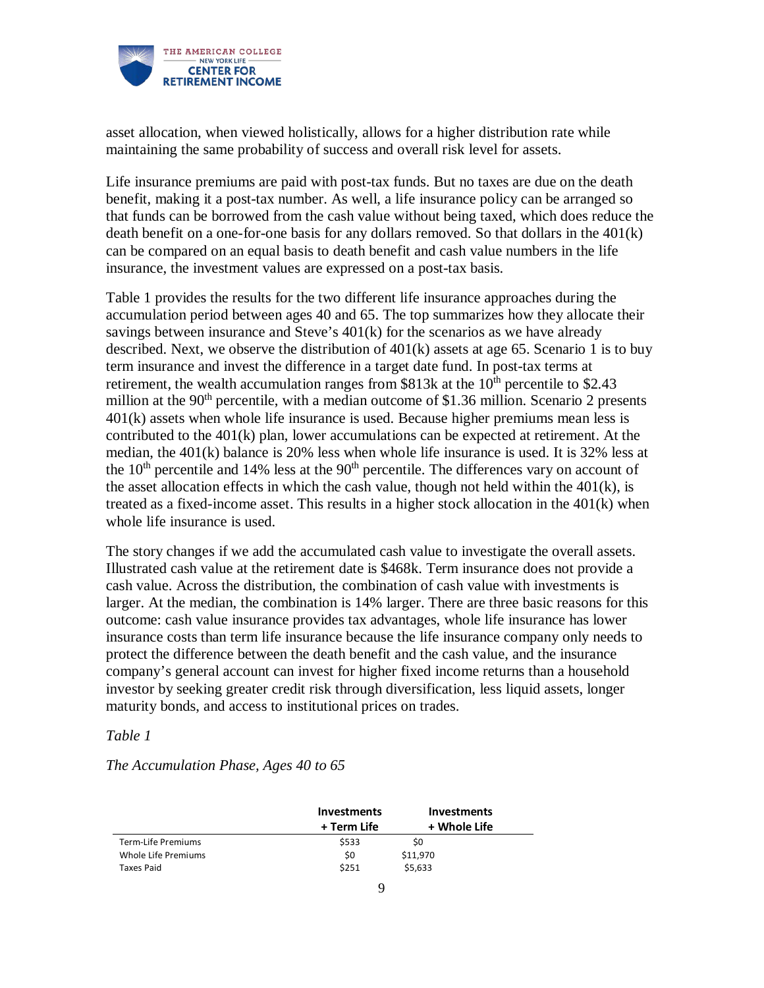

asset allocation, when viewed holistically, allows for a higher distribution rate while maintaining the same probability of success and overall risk level for assets.

Life insurance premiums are paid with post-tax funds. But no taxes are due on the death benefit, making it a post-tax number. As well, a life insurance policy can be arranged so that funds can be borrowed from the cash value without being taxed, which does reduce the death benefit on a one-for-one basis for any dollars removed. So that dollars in the 401(k) can be compared on an equal basis to death benefit and cash value numbers in the life insurance, the investment values are expressed on a post-tax basis.

Table 1 provides the results for the two different life insurance approaches during the accumulation period between ages 40 and 65. The top summarizes how they allocate their savings between insurance and Steve's 401(k) for the scenarios as we have already described. Next, we observe the distribution of 401(k) assets at age 65. Scenario 1 is to buy term insurance and invest the difference in a target date fund. In post-tax terms at retirement, the wealth accumulation ranges from  $$813k$  at the  $10<sup>th</sup>$  percentile to  $$2.43$ million at the  $90<sup>th</sup>$  percentile, with a median outcome of \$1.36 million. Scenario 2 presents 401(k) assets when whole life insurance is used. Because higher premiums mean less is contributed to the 401(k) plan, lower accumulations can be expected at retirement. At the median, the 401(k) balance is 20% less when whole life insurance is used. It is 32% less at the  $10<sup>th</sup>$  percentile and 14% less at the  $90<sup>th</sup>$  percentile. The differences vary on account of the asset allocation effects in which the cash value, though not held within the  $401(k)$ , is treated as a fixed-income asset. This results in a higher stock allocation in the 401(k) when whole life insurance is used.

The story changes if we add the accumulated cash value to investigate the overall assets. Illustrated cash value at the retirement date is \$468k. Term insurance does not provide a cash value. Across the distribution, the combination of cash value with investments is larger. At the median, the combination is 14% larger. There are three basic reasons for this outcome: cash value insurance provides tax advantages, whole life insurance has lower insurance costs than term life insurance because the life insurance company only needs to protect the difference between the death benefit and the cash value, and the insurance company's general account can invest for higher fixed income returns than a household investor by seeking greater credit risk through diversification, less liquid assets, longer maturity bonds, and access to institutional prices on trades.

#### *Table 1*

*The Accumulation Phase, Ages 40 to 65*

|                     | <b>Investments</b> | <b>Investments</b> |  |
|---------------------|--------------------|--------------------|--|
|                     | + Term Life        | + Whole Life       |  |
| Term-Life Premiums  | \$533              | S0                 |  |
| Whole Life Premiums | \$0                | \$11,970           |  |
| Taxes Paid          | \$251              | \$5,633            |  |
|                     |                    |                    |  |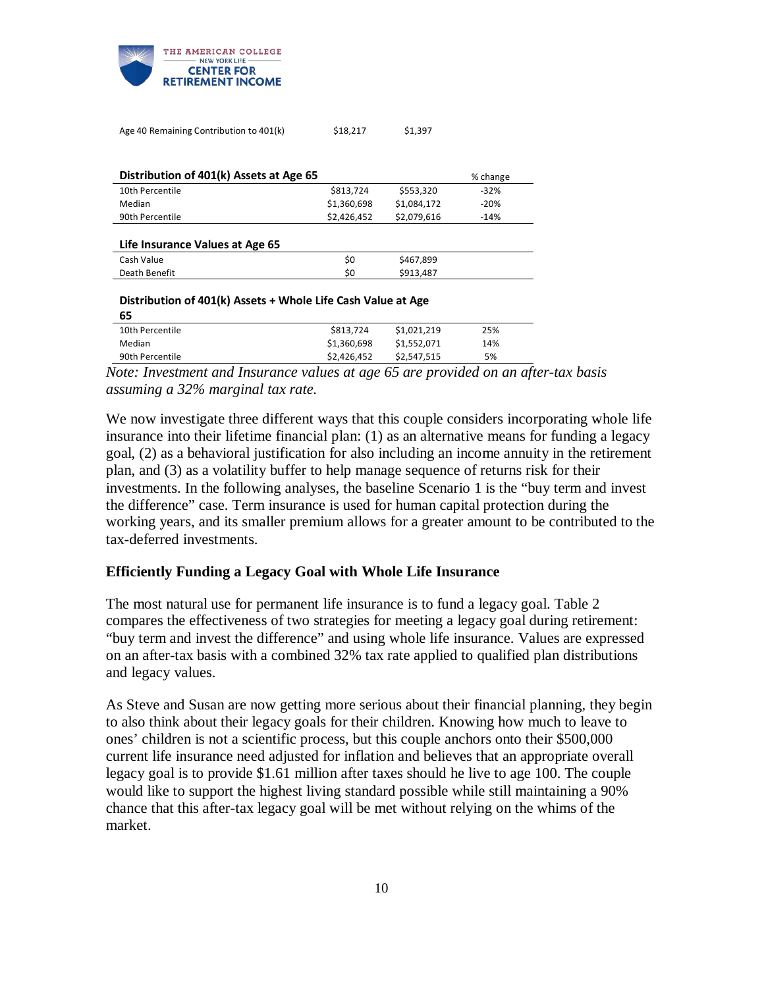

| Age 40 Remaining Contribution to 401(k)                      | \$18,217    | \$1,397     |          |
|--------------------------------------------------------------|-------------|-------------|----------|
|                                                              |             |             |          |
| Distribution of 401(k) Assets at Age 65                      |             |             | % change |
| 10th Percentile                                              | \$813,724   | \$553,320   | $-32%$   |
| Median                                                       | \$1,360,698 | \$1,084,172 | $-20%$   |
| 90th Percentile                                              | \$2,426,452 | \$2,079,616 | $-14%$   |
|                                                              |             |             |          |
| Life Insurance Values at Age 65                              |             |             |          |
| Cash Value                                                   | \$0         | \$467,899   |          |
| Death Benefit                                                | \$0         | \$913,487   |          |
|                                                              |             |             |          |
| Distribution of 401(k) Assets + Whole Life Cash Value at Age |             |             |          |
| 65                                                           |             |             |          |
| 10th Percentile                                              | \$813,724   | \$1,021,219 | 25%      |

Median \$1,360,698 \$1,552,071 14%

90th Percentile 5% 52,426,452 \$2,547,515 *Note: Investment and Insurance values at age 65 are provided on an after-tax basis assuming a 32% marginal tax rate.*

We now investigate three different ways that this couple considers incorporating whole life insurance into their lifetime financial plan: (1) as an alternative means for funding a legacy goal, (2) as a behavioral justification for also including an income annuity in the retirement plan, and (3) as a volatility buffer to help manage sequence of returns risk for their investments. In the following analyses, the baseline Scenario 1 is the "buy term and invest the difference" case. Term insurance is used for human capital protection during the working years, and its smaller premium allows for a greater amount to be contributed to the tax-deferred investments.

#### **Efficiently Funding a Legacy Goal with Whole Life Insurance**

The most natural use for permanent life insurance is to fund a legacy goal. Table 2 compares the effectiveness of two strategies for meeting a legacy goal during retirement: "buy term and invest the difference" and using whole life insurance. Values are expressed on an after-tax basis with a combined 32% tax rate applied to qualified plan distributions and legacy values.

As Steve and Susan are now getting more serious about their financial planning, they begin to also think about their legacy goals for their children. Knowing how much to leave to ones' children is not a scientific process, but this couple anchors onto their \$500,000 current life insurance need adjusted for inflation and believes that an appropriate overall legacy goal is to provide \$1.61 million after taxes should he live to age 100. The couple would like to support the highest living standard possible while still maintaining a 90% chance that this after-tax legacy goal will be met without relying on the whims of the market.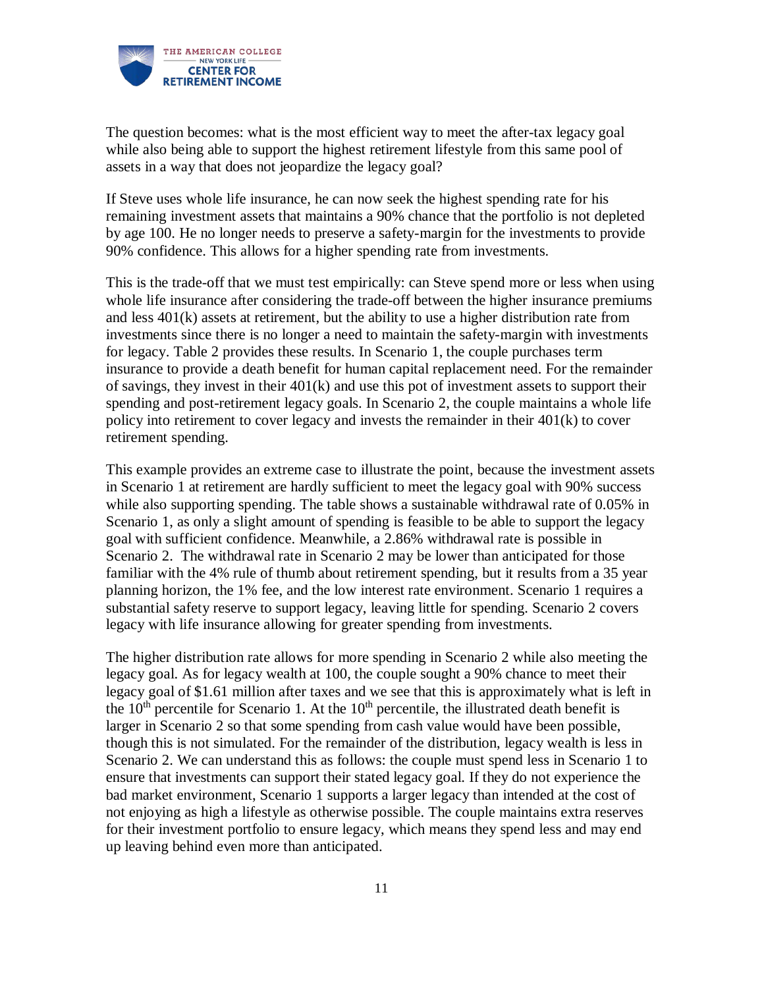

The question becomes: what is the most efficient way to meet the after-tax legacy goal while also being able to support the highest retirement lifestyle from this same pool of assets in a way that does not jeopardize the legacy goal?

If Steve uses whole life insurance, he can now seek the highest spending rate for his remaining investment assets that maintains a 90% chance that the portfolio is not depleted by age 100. He no longer needs to preserve a safety-margin for the investments to provide 90% confidence. This allows for a higher spending rate from investments.

This is the trade-off that we must test empirically: can Steve spend more or less when using whole life insurance after considering the trade-off between the higher insurance premiums and less 401(k) assets at retirement, but the ability to use a higher distribution rate from investments since there is no longer a need to maintain the safety-margin with investments for legacy. Table 2 provides these results. In Scenario 1, the couple purchases term insurance to provide a death benefit for human capital replacement need. For the remainder of savings, they invest in their  $401(k)$  and use this pot of investment assets to support their spending and post-retirement legacy goals. In Scenario 2, the couple maintains a whole life policy into retirement to cover legacy and invests the remainder in their 401(k) to cover retirement spending.

This example provides an extreme case to illustrate the point, because the investment assets in Scenario 1 at retirement are hardly sufficient to meet the legacy goal with 90% success while also supporting spending. The table shows a sustainable withdrawal rate of 0.05% in Scenario 1, as only a slight amount of spending is feasible to be able to support the legacy goal with sufficient confidence. Meanwhile, a 2.86% withdrawal rate is possible in Scenario 2. The withdrawal rate in Scenario 2 may be lower than anticipated for those familiar with the 4% rule of thumb about retirement spending, but it results from a 35 year planning horizon, the 1% fee, and the low interest rate environment. Scenario 1 requires a substantial safety reserve to support legacy, leaving little for spending. Scenario 2 covers legacy with life insurance allowing for greater spending from investments.

The higher distribution rate allows for more spending in Scenario 2 while also meeting the legacy goal. As for legacy wealth at 100, the couple sought a 90% chance to meet their legacy goal of \$1.61 million after taxes and we see that this is approximately what is left in the  $10<sup>th</sup>$  percentile for Scenario 1. At the  $10<sup>th</sup>$  percentile, the illustrated death benefit is larger in Scenario 2 so that some spending from cash value would have been possible, though this is not simulated. For the remainder of the distribution, legacy wealth is less in Scenario 2. We can understand this as follows: the couple must spend less in Scenario 1 to ensure that investments can support their stated legacy goal. If they do not experience the bad market environment, Scenario 1 supports a larger legacy than intended at the cost of not enjoying as high a lifestyle as otherwise possible. The couple maintains extra reserves for their investment portfolio to ensure legacy, which means they spend less and may end up leaving behind even more than anticipated.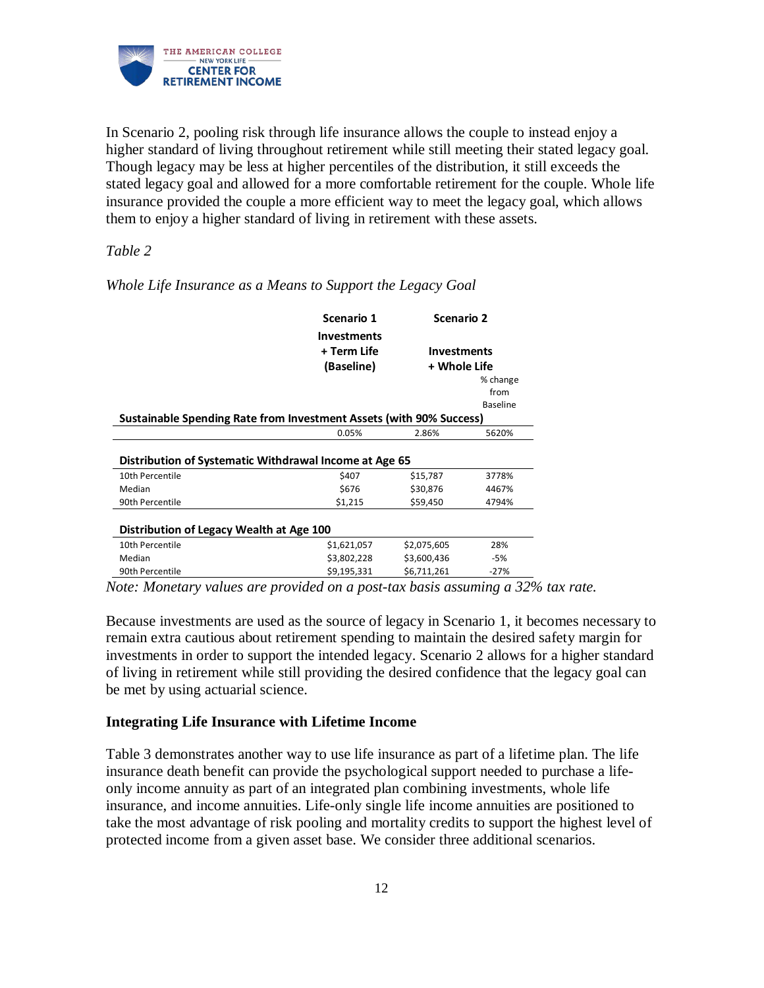

In Scenario 2, pooling risk through life insurance allows the couple to instead enjoy a higher standard of living throughout retirement while still meeting their stated legacy goal. Though legacy may be less at higher percentiles of the distribution, it still exceeds the stated legacy goal and allowed for a more comfortable retirement for the couple. Whole life insurance provided the couple a more efficient way to meet the legacy goal, which allows them to enjoy a higher standard of living in retirement with these assets.

## *Table 2*

|                                          | Scenario 1<br><b>Investments</b><br>+ Term Life                     | Scenario 2<br><b>Investments</b><br>+ Whole Life |                                     |  |
|------------------------------------------|---------------------------------------------------------------------|--------------------------------------------------|-------------------------------------|--|
|                                          | (Baseline)                                                          |                                                  |                                     |  |
|                                          | Sustainable Spending Rate from Investment Assets (with 90% Success) |                                                  | % change<br>from<br><b>Baseline</b> |  |
|                                          | 0.05%                                                               | 2.86%                                            | 5620%                               |  |
|                                          | Distribution of Systematic Withdrawal Income at Age 65              |                                                  |                                     |  |
| 10th Percentile                          | \$407                                                               | \$15,787                                         | 3778%                               |  |
| Median                                   | \$676                                                               | \$30,876                                         | 4467%                               |  |
| 90th Percentile                          | \$1,215                                                             | \$59,450                                         | 4794%                               |  |
| Distribution of Legacy Wealth at Age 100 |                                                                     |                                                  |                                     |  |
| 10th Percentile                          | \$1,621,057                                                         | \$2,075,605                                      | 28%                                 |  |
| Median                                   | \$3,802,228                                                         | \$3,600,436                                      | $-5%$                               |  |
| 90th Percentile                          | \$9,195,331                                                         | \$6,711,261                                      | $-27%$                              |  |

*Whole Life Insurance as a Means to Support the Legacy Goal*

*Note: Monetary values are provided on a post-tax basis assuming a 32% tax rate.* 

Because investments are used as the source of legacy in Scenario 1, it becomes necessary to remain extra cautious about retirement spending to maintain the desired safety margin for investments in order to support the intended legacy. Scenario 2 allows for a higher standard of living in retirement while still providing the desired confidence that the legacy goal can be met by using actuarial science.

## **Integrating Life Insurance with Lifetime Income**

Table 3 demonstrates another way to use life insurance as part of a lifetime plan. The life insurance death benefit can provide the psychological support needed to purchase a lifeonly income annuity as part of an integrated plan combining investments, whole life insurance, and income annuities. Life-only single life income annuities are positioned to take the most advantage of risk pooling and mortality credits to support the highest level of protected income from a given asset base. We consider three additional scenarios.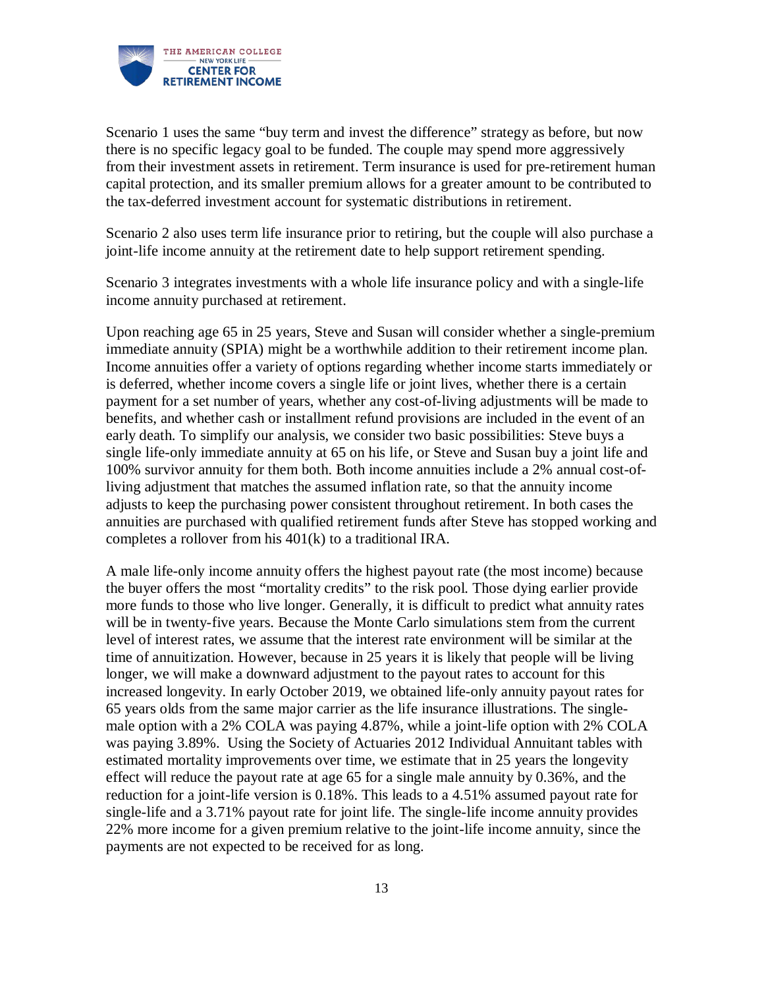

Scenario 1 uses the same "buy term and invest the difference" strategy as before, but now there is no specific legacy goal to be funded. The couple may spend more aggressively from their investment assets in retirement. Term insurance is used for pre-retirement human capital protection, and its smaller premium allows for a greater amount to be contributed to the tax-deferred investment account for systematic distributions in retirement.

Scenario 2 also uses term life insurance prior to retiring, but the couple will also purchase a joint-life income annuity at the retirement date to help support retirement spending.

Scenario 3 integrates investments with a whole life insurance policy and with a single-life income annuity purchased at retirement.

Upon reaching age 65 in 25 years, Steve and Susan will consider whether a single-premium immediate annuity (SPIA) might be a worthwhile addition to their retirement income plan. Income annuities offer a variety of options regarding whether income starts immediately or is deferred, whether income covers a single life or joint lives, whether there is a certain payment for a set number of years, whether any cost-of-living adjustments will be made to benefits, and whether cash or installment refund provisions are included in the event of an early death. To simplify our analysis, we consider two basic possibilities: Steve buys a single life-only immediate annuity at 65 on his life, or Steve and Susan buy a joint life and 100% survivor annuity for them both. Both income annuities include a 2% annual cost-ofliving adjustment that matches the assumed inflation rate, so that the annuity income adjusts to keep the purchasing power consistent throughout retirement. In both cases the annuities are purchased with qualified retirement funds after Steve has stopped working and completes a rollover from his 401(k) to a traditional IRA.

A male life-only income annuity offers the highest payout rate (the most income) because the buyer offers the most "mortality credits" to the risk pool. Those dying earlier provide more funds to those who live longer. Generally, it is difficult to predict what annuity rates will be in twenty-five years. Because the Monte Carlo simulations stem from the current level of interest rates, we assume that the interest rate environment will be similar at the time of annuitization. However, because in 25 years it is likely that people will be living longer, we will make a downward adjustment to the payout rates to account for this increased longevity. In early October 2019, we obtained life-only annuity payout rates for 65 years olds from the same major carrier as the life insurance illustrations. The singlemale option with a 2% COLA was paying 4.87%, while a joint-life option with 2% COLA was paying 3.89%. Using the Society of Actuaries 2012 Individual Annuitant tables with estimated mortality improvements over time, we estimate that in 25 years the longevity effect will reduce the payout rate at age 65 for a single male annuity by 0.36%, and the reduction for a joint-life version is 0.18%. This leads to a 4.51% assumed payout rate for single-life and a 3.71% payout rate for joint life. The single-life income annuity provides 22% more income for a given premium relative to the joint-life income annuity, since the payments are not expected to be received for as long.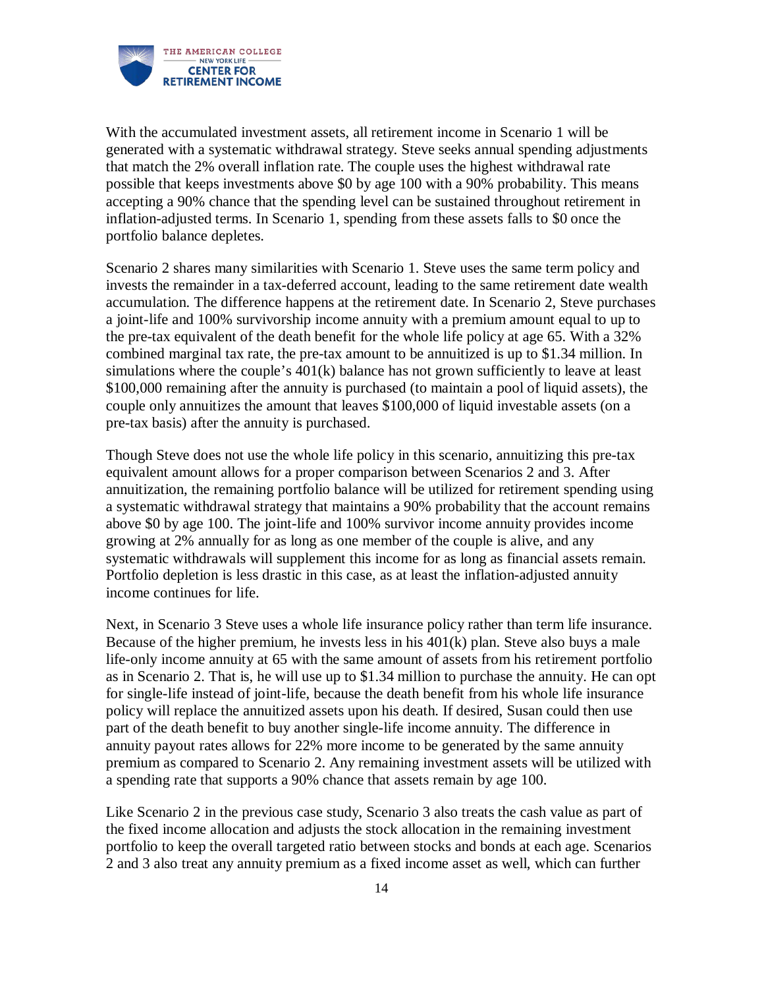

With the accumulated investment assets, all retirement income in Scenario 1 will be generated with a systematic withdrawal strategy. Steve seeks annual spending adjustments that match the 2% overall inflation rate. The couple uses the highest withdrawal rate possible that keeps investments above \$0 by age 100 with a 90% probability. This means accepting a 90% chance that the spending level can be sustained throughout retirement in inflation-adjusted terms. In Scenario 1, spending from these assets falls to \$0 once the portfolio balance depletes.

Scenario 2 shares many similarities with Scenario 1. Steve uses the same term policy and invests the remainder in a tax-deferred account, leading to the same retirement date wealth accumulation. The difference happens at the retirement date. In Scenario 2, Steve purchases a joint-life and 100% survivorship income annuity with a premium amount equal to up to the pre-tax equivalent of the death benefit for the whole life policy at age 65. With a 32% combined marginal tax rate, the pre-tax amount to be annuitized is up to \$1.34 million. In simulations where the couple's 401(k) balance has not grown sufficiently to leave at least \$100,000 remaining after the annuity is purchased (to maintain a pool of liquid assets), the couple only annuitizes the amount that leaves \$100,000 of liquid investable assets (on a pre-tax basis) after the annuity is purchased.

Though Steve does not use the whole life policy in this scenario, annuitizing this pre-tax equivalent amount allows for a proper comparison between Scenarios 2 and 3. After annuitization, the remaining portfolio balance will be utilized for retirement spending using a systematic withdrawal strategy that maintains a 90% probability that the account remains above \$0 by age 100. The joint-life and 100% survivor income annuity provides income growing at 2% annually for as long as one member of the couple is alive, and any systematic withdrawals will supplement this income for as long as financial assets remain. Portfolio depletion is less drastic in this case, as at least the inflation-adjusted annuity income continues for life.

Next, in Scenario 3 Steve uses a whole life insurance policy rather than term life insurance. Because of the higher premium, he invests less in his  $401(k)$  plan. Steve also buys a male life-only income annuity at 65 with the same amount of assets from his retirement portfolio as in Scenario 2. That is, he will use up to \$1.34 million to purchase the annuity. He can opt for single-life instead of joint-life, because the death benefit from his whole life insurance policy will replace the annuitized assets upon his death. If desired, Susan could then use part of the death benefit to buy another single-life income annuity. The difference in annuity payout rates allows for 22% more income to be generated by the same annuity premium as compared to Scenario 2. Any remaining investment assets will be utilized with a spending rate that supports a 90% chance that assets remain by age 100.

Like Scenario 2 in the previous case study, Scenario 3 also treats the cash value as part of the fixed income allocation and adjusts the stock allocation in the remaining investment portfolio to keep the overall targeted ratio between stocks and bonds at each age. Scenarios 2 and 3 also treat any annuity premium as a fixed income asset as well, which can further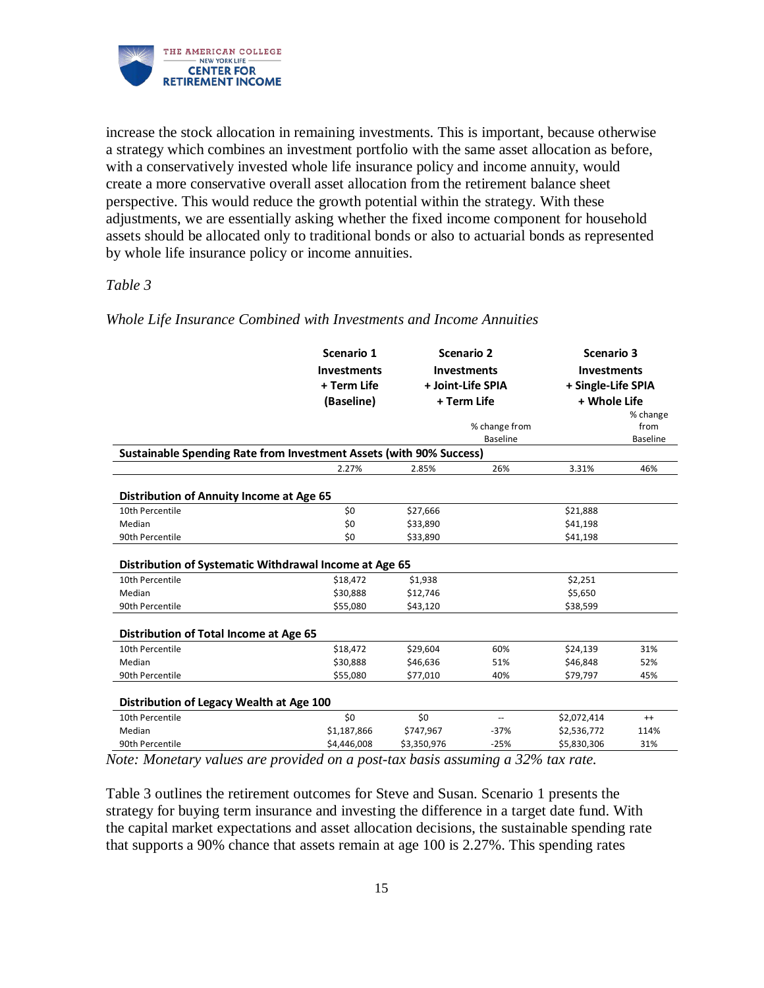

increase the stock allocation in remaining investments. This is important, because otherwise a strategy which combines an investment portfolio with the same asset allocation as before, with a conservatively invested whole life insurance policy and income annuity, would create a more conservative overall asset allocation from the retirement balance sheet perspective. This would reduce the growth potential within the strategy. With these adjustments, we are essentially asking whether the fixed income component for household assets should be allocated only to traditional bonds or also to actuarial bonds as represented by whole life insurance policy or income annuities.

## *Table 3*

|                                                                            | Scenario 1<br><b>Investments</b><br>+ Term Life<br>(Baseline) |             | Scenario 2<br><b>Investments</b><br>+ Joint-Life SPIA<br>+ Term Life | <b>Scenario 3</b><br><b>Investments</b><br>+ Single-Life SPIA<br>+ Whole Life | % change                |
|----------------------------------------------------------------------------|---------------------------------------------------------------|-------------|----------------------------------------------------------------------|-------------------------------------------------------------------------------|-------------------------|
|                                                                            |                                                               |             | % change from<br><b>Baseline</b>                                     |                                                                               | from<br><b>Baseline</b> |
| <b>Sustainable Spending Rate from Investment Assets (with 90% Success)</b> |                                                               |             |                                                                      |                                                                               |                         |
|                                                                            | 2.27%                                                         | 2.85%       | 26%                                                                  | 3.31%                                                                         | 46%                     |
| Distribution of Annuity Income at Age 65                                   |                                                               |             |                                                                      |                                                                               |                         |
| 10th Percentile                                                            | \$0                                                           | \$27,666    |                                                                      | \$21,888                                                                      |                         |
| Median                                                                     | \$0                                                           | \$33,890    |                                                                      | \$41,198                                                                      |                         |
| 90th Percentile                                                            | \$0                                                           | \$33,890    |                                                                      | \$41,198                                                                      |                         |
| Distribution of Systematic Withdrawal Income at Age 65                     |                                                               |             |                                                                      |                                                                               |                         |
| 10th Percentile                                                            | \$18,472                                                      | \$1,938     |                                                                      | \$2,251                                                                       |                         |
| Median                                                                     | \$30,888                                                      | \$12,746    |                                                                      | \$5,650                                                                       |                         |
| 90th Percentile                                                            | \$55,080                                                      | \$43,120    |                                                                      | \$38,599                                                                      |                         |
| Distribution of Total Income at Age 65                                     |                                                               |             |                                                                      |                                                                               |                         |
| 10th Percentile                                                            | \$18,472                                                      | \$29,604    | 60%                                                                  | \$24,139                                                                      | 31%                     |
| Median                                                                     | \$30,888                                                      | \$46,636    | 51%                                                                  | \$46,848                                                                      | 52%                     |
| 90th Percentile                                                            | \$55,080                                                      | \$77,010    | 40%                                                                  | \$79,797                                                                      | 45%                     |
| Distribution of Legacy Wealth at Age 100                                   |                                                               |             |                                                                      |                                                                               |                         |
| 10th Percentile                                                            | \$0                                                           | \$0         | --                                                                   | \$2,072,414                                                                   | $^{++}$                 |
| Median                                                                     | \$1,187,866                                                   | \$747,967   | $-37%$                                                               | \$2,536,772                                                                   | 114%                    |
| 90th Percentile                                                            | \$4,446,008                                                   | \$3,350,976 | $-25%$                                                               | \$5,830,306                                                                   | 31%                     |

*Whole Life Insurance Combined with Investments and Income Annuities*

*Note: Monetary values are provided on a post-tax basis assuming a 32% tax rate.* 

Table 3 outlines the retirement outcomes for Steve and Susan. Scenario 1 presents the strategy for buying term insurance and investing the difference in a target date fund. With the capital market expectations and asset allocation decisions, the sustainable spending rate that supports a 90% chance that assets remain at age 100 is 2.27%. This spending rates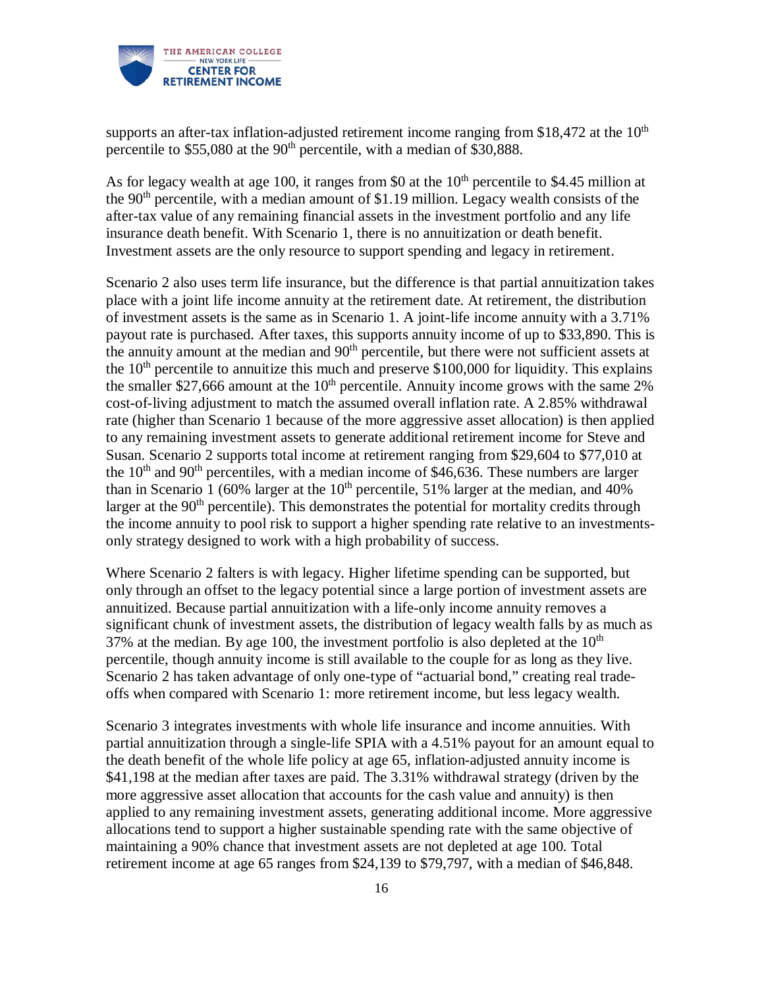

supports an after-tax inflation-adjusted retirement income ranging from \$18,472 at the  $10<sup>th</sup>$ percentile to  $$55,080$  at the  $90<sup>th</sup>$  percentile, with a median of \$30,888.

As for legacy wealth at age 100, it ranges from \$0 at the  $10<sup>th</sup>$  percentile to \$4.45 million at the  $90<sup>th</sup>$  percentile, with a median amount of \$1.19 million. Legacy wealth consists of the after-tax value of any remaining financial assets in the investment portfolio and any life insurance death benefit. With Scenario 1, there is no annuitization or death benefit. Investment assets are the only resource to support spending and legacy in retirement.

Scenario 2 also uses term life insurance, but the difference is that partial annuitization takes place with a joint life income annuity at the retirement date. At retirement, the distribution of investment assets is the same as in Scenario 1. A joint-life income annuity with a 3.71% payout rate is purchased. After taxes, this supports annuity income of up to \$33,890. This is the annuity amount at the median and  $90<sup>th</sup>$  percentile, but there were not sufficient assets at the  $10<sup>th</sup>$  percentile to annuitize this much and preserve \$100,000 for liquidity. This explains the smaller \$27,666 amount at the  $10<sup>th</sup>$  percentile. Annuity income grows with the same 2% cost-of-living adjustment to match the assumed overall inflation rate. A 2.85% withdrawal rate (higher than Scenario 1 because of the more aggressive asset allocation) is then applied to any remaining investment assets to generate additional retirement income for Steve and Susan. Scenario 2 supports total income at retirement ranging from \$29,604 to \$77,010 at the  $10<sup>th</sup>$  and  $90<sup>th</sup>$  percentiles, with a median income of \$46,636. These numbers are larger than in Scenario 1 (60% larger at the  $10<sup>th</sup>$  percentile, 51% larger at the median, and 40% larger at the  $90<sup>th</sup>$  percentile). This demonstrates the potential for mortality credits through the income annuity to pool risk to support a higher spending rate relative to an investmentsonly strategy designed to work with a high probability of success.

Where Scenario 2 falters is with legacy. Higher lifetime spending can be supported, but only through an offset to the legacy potential since a large portion of investment assets are annuitized. Because partial annuitization with a life-only income annuity removes a significant chunk of investment assets, the distribution of legacy wealth falls by as much as 37% at the median. By age 100, the investment portfolio is also depleted at the  $10<sup>th</sup>$ percentile, though annuity income is still available to the couple for as long as they live. Scenario 2 has taken advantage of only one-type of "actuarial bond," creating real tradeoffs when compared with Scenario 1: more retirement income, but less legacy wealth.

Scenario 3 integrates investments with whole life insurance and income annuities. With partial annuitization through a single-life SPIA with a 4.51% payout for an amount equal to the death benefit of the whole life policy at age 65, inflation-adjusted annuity income is \$41,198 at the median after taxes are paid. The 3.31% withdrawal strategy (driven by the more aggressive asset allocation that accounts for the cash value and annuity) is then applied to any remaining investment assets, generating additional income. More aggressive allocations tend to support a higher sustainable spending rate with the same objective of maintaining a 90% chance that investment assets are not depleted at age 100. Total retirement income at age 65 ranges from \$24,139 to \$79,797, with a median of \$46,848.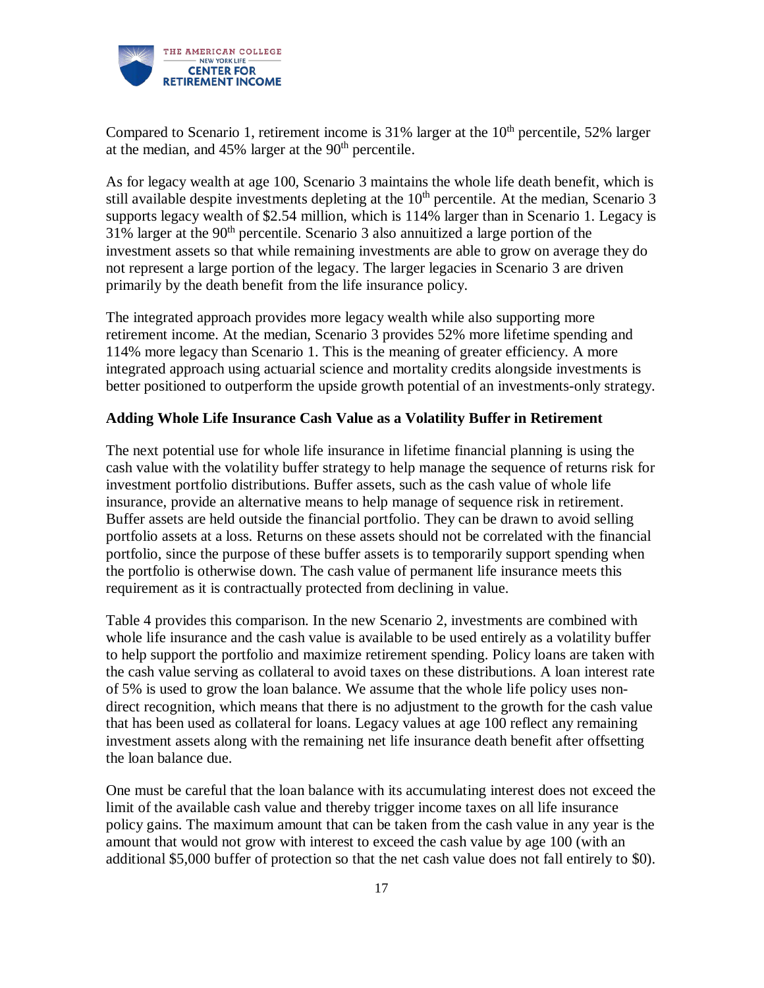

Compared to Scenario 1, retirement income is  $31\%$  larger at the  $10<sup>th</sup>$  percentile, 52% larger at the median, and  $45\%$  larger at the  $90<sup>th</sup>$  percentile.

As for legacy wealth at age 100, Scenario 3 maintains the whole life death benefit, which is still available despite investments depleting at the  $10<sup>th</sup>$  percentile. At the median, Scenario 3 supports legacy wealth of \$2.54 million, which is 114% larger than in Scenario 1. Legacy is 31% larger at the 90th percentile. Scenario 3 also annuitized a large portion of the investment assets so that while remaining investments are able to grow on average they do not represent a large portion of the legacy. The larger legacies in Scenario 3 are driven primarily by the death benefit from the life insurance policy.

The integrated approach provides more legacy wealth while also supporting more retirement income. At the median, Scenario 3 provides 52% more lifetime spending and 114% more legacy than Scenario 1. This is the meaning of greater efficiency. A more integrated approach using actuarial science and mortality credits alongside investments is better positioned to outperform the upside growth potential of an investments-only strategy.

## **Adding Whole Life Insurance Cash Value as a Volatility Buffer in Retirement**

The next potential use for whole life insurance in lifetime financial planning is using the cash value with the volatility buffer strategy to help manage the sequence of returns risk for investment portfolio distributions. Buffer assets, such as the cash value of whole life insurance, provide an alternative means to help manage of sequence risk in retirement. Buffer assets are held outside the financial portfolio. They can be drawn to avoid selling portfolio assets at a loss. Returns on these assets should not be correlated with the financial portfolio, since the purpose of these buffer assets is to temporarily support spending when the portfolio is otherwise down. The cash value of permanent life insurance meets this requirement as it is contractually protected from declining in value.

Table 4 provides this comparison. In the new Scenario 2, investments are combined with whole life insurance and the cash value is available to be used entirely as a volatility buffer to help support the portfolio and maximize retirement spending. Policy loans are taken with the cash value serving as collateral to avoid taxes on these distributions. A loan interest rate of 5% is used to grow the loan balance. We assume that the whole life policy uses nondirect recognition, which means that there is no adjustment to the growth for the cash value that has been used as collateral for loans. Legacy values at age 100 reflect any remaining investment assets along with the remaining net life insurance death benefit after offsetting the loan balance due.

One must be careful that the loan balance with its accumulating interest does not exceed the limit of the available cash value and thereby trigger income taxes on all life insurance policy gains. The maximum amount that can be taken from the cash value in any year is the amount that would not grow with interest to exceed the cash value by age 100 (with an additional \$5,000 buffer of protection so that the net cash value does not fall entirely to \$0).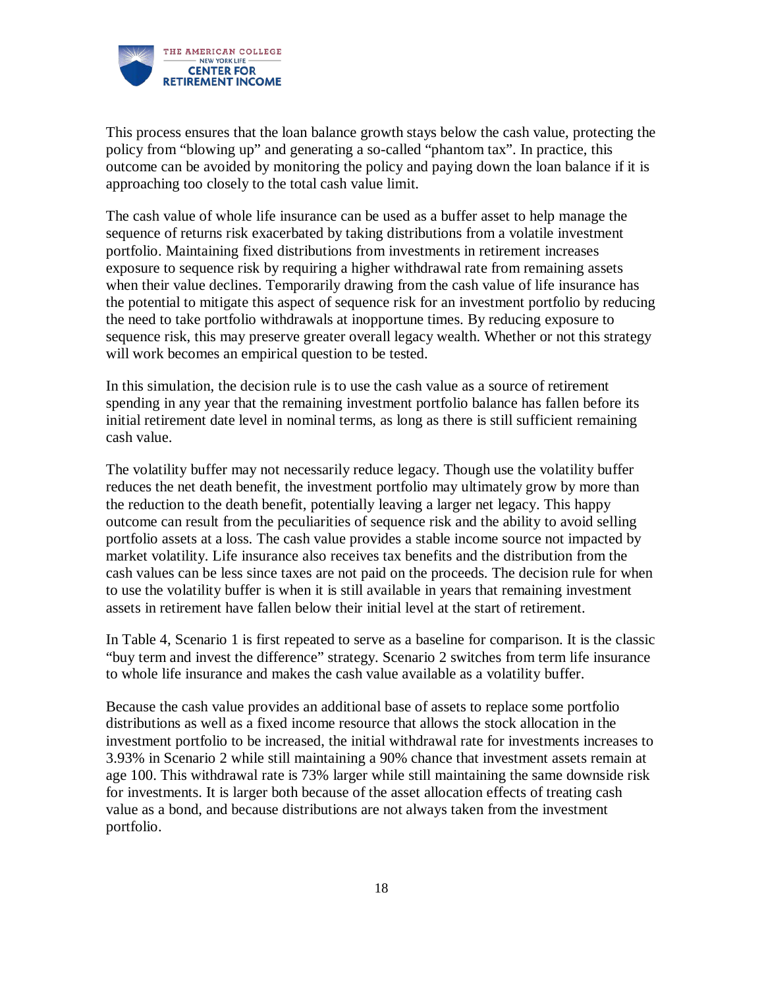

This process ensures that the loan balance growth stays below the cash value, protecting the policy from "blowing up" and generating a so-called "phantom tax". In practice, this outcome can be avoided by monitoring the policy and paying down the loan balance if it is approaching too closely to the total cash value limit.

The cash value of whole life insurance can be used as a buffer asset to help manage the sequence of returns risk exacerbated by taking distributions from a volatile investment portfolio. Maintaining fixed distributions from investments in retirement increases exposure to sequence risk by requiring a higher withdrawal rate from remaining assets when their value declines. Temporarily drawing from the cash value of life insurance has the potential to mitigate this aspect of sequence risk for an investment portfolio by reducing the need to take portfolio withdrawals at inopportune times. By reducing exposure to sequence risk, this may preserve greater overall legacy wealth. Whether or not this strategy will work becomes an empirical question to be tested.

In this simulation, the decision rule is to use the cash value as a source of retirement spending in any year that the remaining investment portfolio balance has fallen before its initial retirement date level in nominal terms, as long as there is still sufficient remaining cash value.

The volatility buffer may not necessarily reduce legacy. Though use the volatility buffer reduces the net death benefit, the investment portfolio may ultimately grow by more than the reduction to the death benefit, potentially leaving a larger net legacy. This happy outcome can result from the peculiarities of sequence risk and the ability to avoid selling portfolio assets at a loss. The cash value provides a stable income source not impacted by market volatility. Life insurance also receives tax benefits and the distribution from the cash values can be less since taxes are not paid on the proceeds. The decision rule for when to use the volatility buffer is when it is still available in years that remaining investment assets in retirement have fallen below their initial level at the start of retirement.

In Table 4, Scenario 1 is first repeated to serve as a baseline for comparison. It is the classic "buy term and invest the difference" strategy. Scenario 2 switches from term life insurance to whole life insurance and makes the cash value available as a volatility buffer.

Because the cash value provides an additional base of assets to replace some portfolio distributions as well as a fixed income resource that allows the stock allocation in the investment portfolio to be increased, the initial withdrawal rate for investments increases to 3.93% in Scenario 2 while still maintaining a 90% chance that investment assets remain at age 100. This withdrawal rate is 73% larger while still maintaining the same downside risk for investments. It is larger both because of the asset allocation effects of treating cash value as a bond, and because distributions are not always taken from the investment portfolio.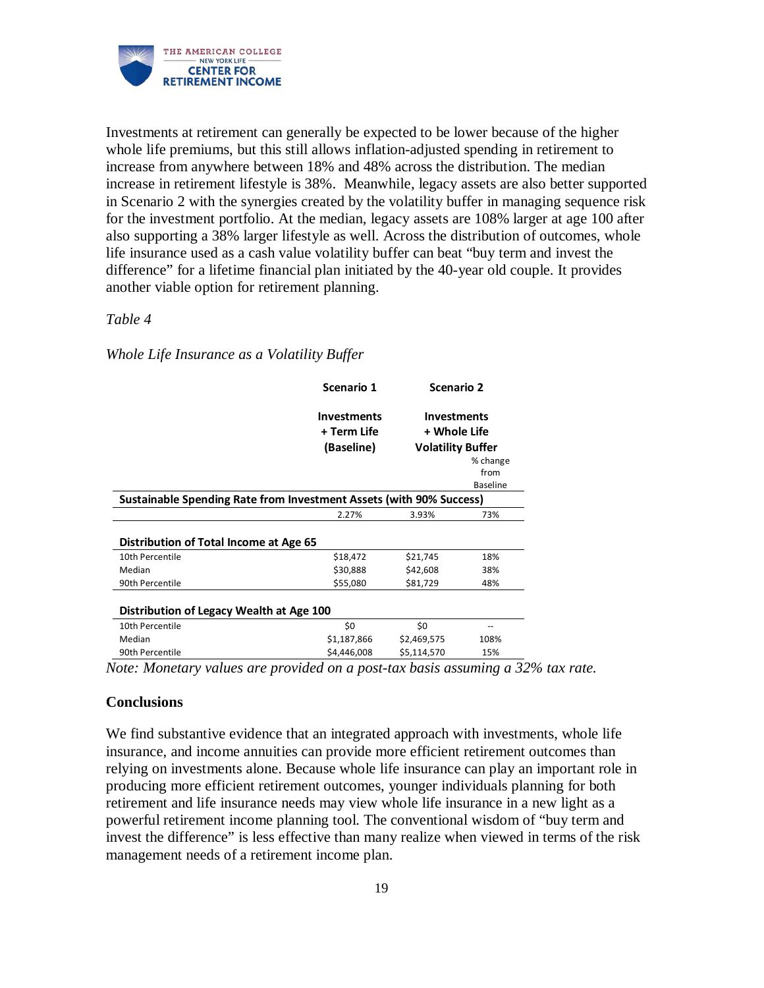

Investments at retirement can generally be expected to be lower because of the higher whole life premiums, but this still allows inflation-adjusted spending in retirement to increase from anywhere between 18% and 48% across the distribution. The median increase in retirement lifestyle is 38%. Meanwhile, legacy assets are also better supported in Scenario 2 with the synergies created by the volatility buffer in managing sequence risk for the investment portfolio. At the median, legacy assets are 108% larger at age 100 after also supporting a 38% larger lifestyle as well. Across the distribution of outcomes, whole life insurance used as a cash value volatility buffer can beat "buy term and invest the difference" for a lifetime financial plan initiated by the 40-year old couple. It provides another viable option for retirement planning.

#### *Table 4*

*Whole Life Insurance as a Volatility Buffer*

|                                                                     | Scenario 1                | Scenario 2                               |                                     |  |
|---------------------------------------------------------------------|---------------------------|------------------------------------------|-------------------------------------|--|
|                                                                     | <b>Investments</b>        | <b>Investments</b>                       |                                     |  |
|                                                                     | + Term Life<br>(Baseline) | + Whole Life<br><b>Volatility Buffer</b> |                                     |  |
|                                                                     |                           |                                          | % change<br>from<br><b>Baseline</b> |  |
| Sustainable Spending Rate from Investment Assets (with 90% Success) |                           |                                          |                                     |  |
|                                                                     | 2.27%                     | 3.93%                                    | 73%                                 |  |
| Distribution of Total Income at Age 65                              |                           |                                          |                                     |  |
| 10th Percentile                                                     | \$18,472                  | \$21,745                                 | 18%                                 |  |
| Median                                                              | \$30,888                  | \$42,608                                 | 38%                                 |  |
| 90th Percentile                                                     | \$55,080                  | \$81,729                                 | 48%                                 |  |
| Distribution of Legacy Wealth at Age 100                            |                           |                                          |                                     |  |
| 10th Percentile                                                     | \$0                       | \$0                                      | --                                  |  |
| Median                                                              | \$1,187,866               | \$2,469,575                              | 108%                                |  |
| 90th Percentile                                                     | \$4,446,008               | \$5,114,570                              | 15%                                 |  |

*Note: Monetary values are provided on a post-tax basis assuming a 32% tax rate.* 

#### **Conclusions**

We find substantive evidence that an integrated approach with investments, whole life insurance, and income annuities can provide more efficient retirement outcomes than relying on investments alone. Because whole life insurance can play an important role in producing more efficient retirement outcomes, younger individuals planning for both retirement and life insurance needs may view whole life insurance in a new light as a powerful retirement income planning tool. The conventional wisdom of "buy term and invest the difference" is less effective than many realize when viewed in terms of the risk management needs of a retirement income plan.